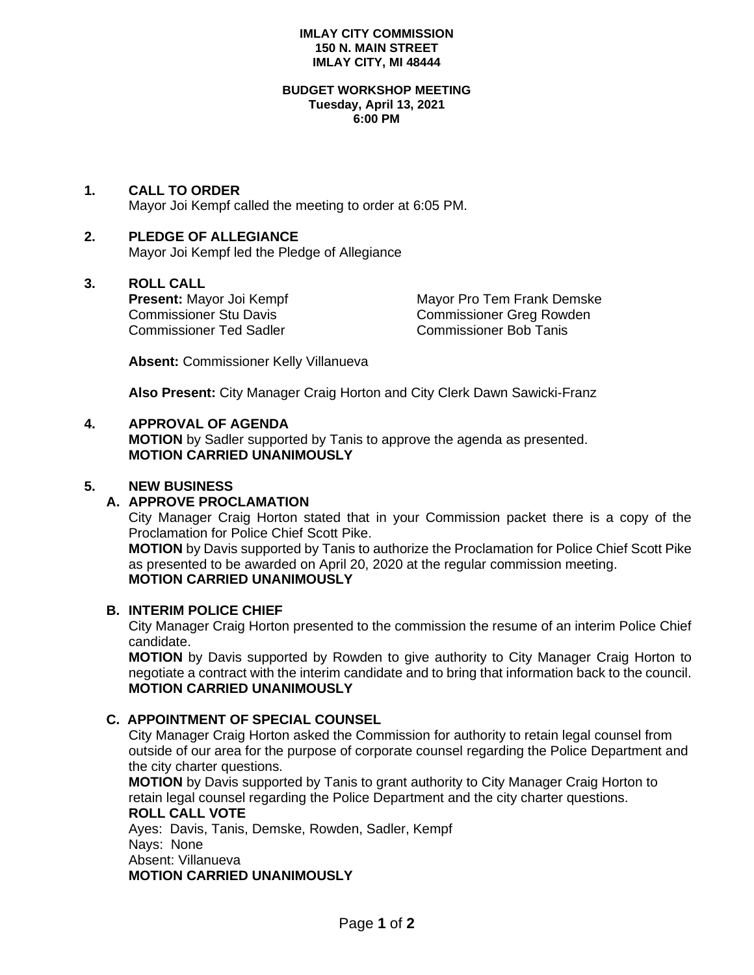#### **IMLAY CITY COMMISSION 150 N. MAIN STREET IMLAY CITY, MI 48444**

#### **BUDGET WORKSHOP MEETING Tuesday, April 13, 2021 6:00 PM**

## **1. CALL TO ORDER**

Mayor Joi Kempf called the meeting to order at 6:05 PM.

# **2. PLEDGE OF ALLEGIANCE**

Mayor Joi Kempf led the Pledge of Allegiance

## **3. ROLL CALL**

Commissioner Ted Sadler Commissioner Bob Tanis

**Present:** Mayor Joi Kempf Mayor Pro Tem Frank Demske Commissioner Stu Davis<br>
Commissioner Stu Davis Commissioner Greg Rowden Commissioner Greg Rowden

**Absent:** Commissioner Kelly Villanueva

**Also Present:** City Manager Craig Horton and City Clerk Dawn Sawicki-Franz

## **4. APPROVAL OF AGENDA**

**MOTION** by Sadler supported by Tanis to approve the agenda as presented. **MOTION CARRIED UNANIMOUSLY**

### **5. NEW BUSINESS**

## **A. APPROVE PROCLAMATION**

City Manager Craig Horton stated that in your Commission packet there is a copy of the Proclamation for Police Chief Scott Pike.

**MOTION** by Davis supported by Tanis to authorize the Proclamation for Police Chief Scott Pike as presented to be awarded on April 20, 2020 at the regular commission meeting. **MOTION CARRIED UNANIMOUSLY**

### **B. INTERIM POLICE CHIEF**

City Manager Craig Horton presented to the commission the resume of an interim Police Chief candidate.

**MOTION** by Davis supported by Rowden to give authority to City Manager Craig Horton to negotiate a contract with the interim candidate and to bring that information back to the council. **MOTION CARRIED UNANIMOUSLY**

## **C. APPOINTMENT OF SPECIAL COUNSEL**

City Manager Craig Horton asked the Commission for authority to retain legal counsel from outside of our area for the purpose of corporate counsel regarding the Police Department and the city charter questions.

**MOTION** by Davis supported by Tanis to grant authority to City Manager Craig Horton to retain legal counsel regarding the Police Department and the city charter questions.

# **ROLL CALL VOTE**

Ayes: Davis, Tanis, Demske, Rowden, Sadler, Kempf Nays: None Absent: Villanueva **MOTION CARRIED UNANIMOUSLY**